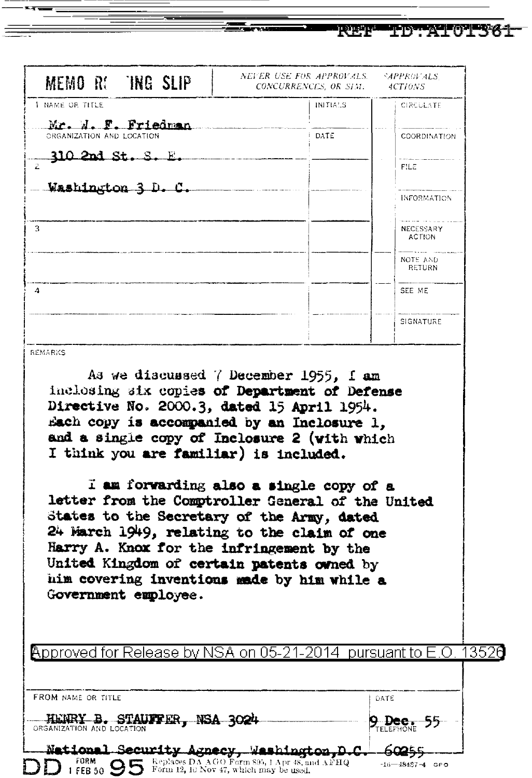| NEVER USE FOR APPROVALS.<br><i><b>SAPPROVALS</b></i><br>MEMO R: TNG SLIP<br>CONCURRENCES, OR SEM.<br>4CTI0NS<br>1 NAME OR TITLE<br>INITIALS<br><b>CIRCULATE</b><br>Mr. N. F. Friedman<br>ORGANIZATION AND LOCATION<br>DATE<br><b>COORDINATION</b><br><u>310 2nd St.</u><br><b>FILE</b><br>Washington 3 D. C.<br>INFORMATION<br>3.<br>NECESSARY<br>ACTION:<br>NOTE AND<br>RETURN<br>4<br>SEE ME<br>SIGNATURE<br>As we discussed 7 December 1955, I am<br>inclosing six copies of Department of Defense<br>Directive No. 2000.3, dated 15 April 1954.<br>Each copy is accompanied by an Inclosure 1,<br>and a single copy of Inclosure 2 (with which<br>I think you are familiar) is included.<br>I am forwarding also a single copy of a<br>letter from the Comptroller General of the United<br>States to the Secretary of the Army, dated<br>24 March 1949, relating to the claim of one<br>Harry A. Knox for the infringement by the<br>United Kingdom of certain patents owned by<br>him covering inventions made by him while a<br>Government employee. |                                                                      | ستانت الخال<br>TID TANKOTISK |
|-------------------------------------------------------------------------------------------------------------------------------------------------------------------------------------------------------------------------------------------------------------------------------------------------------------------------------------------------------------------------------------------------------------------------------------------------------------------------------------------------------------------------------------------------------------------------------------------------------------------------------------------------------------------------------------------------------------------------------------------------------------------------------------------------------------------------------------------------------------------------------------------------------------------------------------------------------------------------------------------------------------------------------------------------------------|----------------------------------------------------------------------|------------------------------|
|                                                                                                                                                                                                                                                                                                                                                                                                                                                                                                                                                                                                                                                                                                                                                                                                                                                                                                                                                                                                                                                             |                                                                      |                              |
|                                                                                                                                                                                                                                                                                                                                                                                                                                                                                                                                                                                                                                                                                                                                                                                                                                                                                                                                                                                                                                                             |                                                                      |                              |
|                                                                                                                                                                                                                                                                                                                                                                                                                                                                                                                                                                                                                                                                                                                                                                                                                                                                                                                                                                                                                                                             |                                                                      |                              |
|                                                                                                                                                                                                                                                                                                                                                                                                                                                                                                                                                                                                                                                                                                                                                                                                                                                                                                                                                                                                                                                             |                                                                      |                              |
|                                                                                                                                                                                                                                                                                                                                                                                                                                                                                                                                                                                                                                                                                                                                                                                                                                                                                                                                                                                                                                                             |                                                                      |                              |
|                                                                                                                                                                                                                                                                                                                                                                                                                                                                                                                                                                                                                                                                                                                                                                                                                                                                                                                                                                                                                                                             |                                                                      |                              |
|                                                                                                                                                                                                                                                                                                                                                                                                                                                                                                                                                                                                                                                                                                                                                                                                                                                                                                                                                                                                                                                             |                                                                      |                              |
|                                                                                                                                                                                                                                                                                                                                                                                                                                                                                                                                                                                                                                                                                                                                                                                                                                                                                                                                                                                                                                                             |                                                                      |                              |
|                                                                                                                                                                                                                                                                                                                                                                                                                                                                                                                                                                                                                                                                                                                                                                                                                                                                                                                                                                                                                                                             |                                                                      |                              |
|                                                                                                                                                                                                                                                                                                                                                                                                                                                                                                                                                                                                                                                                                                                                                                                                                                                                                                                                                                                                                                                             |                                                                      |                              |
|                                                                                                                                                                                                                                                                                                                                                                                                                                                                                                                                                                                                                                                                                                                                                                                                                                                                                                                                                                                                                                                             | REMARKS<br>Approved for Release by NSA on 05-21-2014 pursuant to E.O | 3526                         |
| FROM NAME OR TITLE<br>DATE<br><b>B. STAUFFER, NSA 3024</b><br><b>HERT</b><br>9 Dee,                                                                                                                                                                                                                                                                                                                                                                                                                                                                                                                                                                                                                                                                                                                                                                                                                                                                                                                                                                         |                                                                      |                              |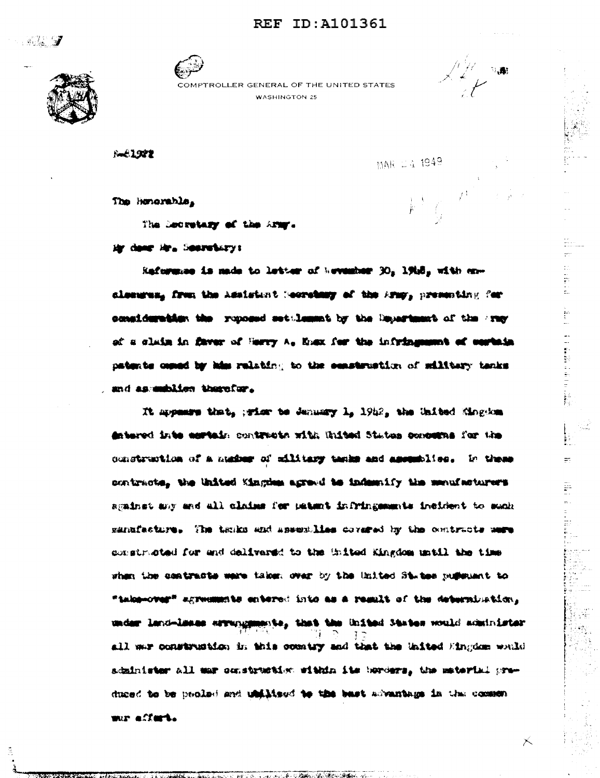## **REF ID: A101361**

**A. 7** 



COMPTROLLER GENERAL OF THE UNITED STATES **WASHINGTON 25** 



**The Community of the Community of the Community of the Community of Community** 

 $\mathbf{r}$ 

Ħ.

 $\times$ 

**E-61922** 

MAR 24 1949

The Honorable,

The Decretary of the Army.

Mr dang Mr. Sesretary:

Rafermas is made to letter of hevenber 30, 1918, with encleanges, frem the Assistant (ecretary of the Army, presenting for consideration the reposed settlement by the Department of the Fray of a claim in flavor of Herry A. East for the infringement of cortain patents comed by him relating to the construction of silitary tanks and as mubiles therefor.

It appears that, wiss to January 1, 1942, the United Singdom detered into cortain contracts with United States concerns for the construction of a maker of military tanks and assumbles. In these contracts, the United Kingdem agreed to indemnity the menufacturers sgainet any and all claims for patent infringements incident to such manufacture. The tanks and assemblies covered by the contracts mere constructed for and delivered to the United Kingdom until the time when the contracts were taken over by the United States pulleums to "take-over" agreements entered into as a result of the determination, under land-lesse errungsmante, that the United States would administer all war construction in this country and that the United Eingdom waild schinister all mar construction within its burders, the material preduced to be peoled and utilities to the bast advantage in the common war affert.

**スルーキバンス出会い (名) (先という宗教** 

Associated BM of the Contract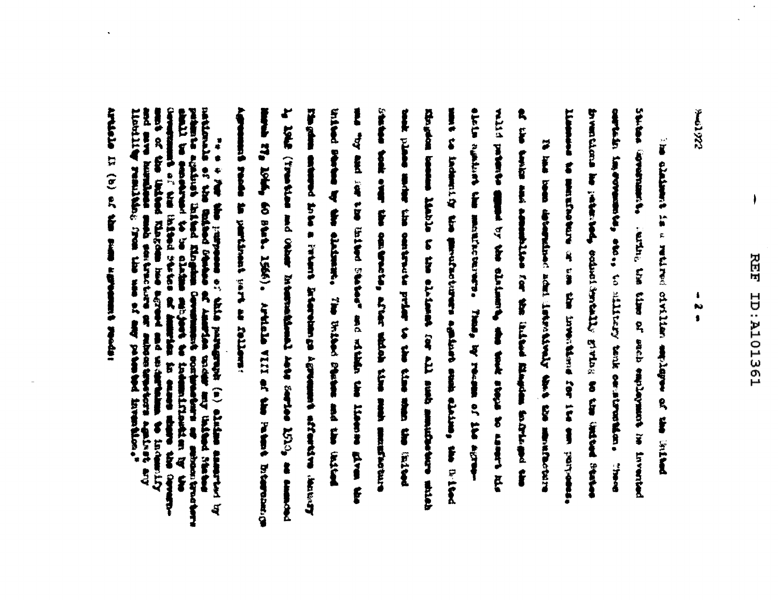Ì

**CZGTOWE** 

**PERMITTENDS: POPULATION** Limman to menticebure or use the invention for its one partbreatured in the telestic collection in this of the telestic feature cortain improvements, the , to silicary tenk constructions. line claiment is a retired of stilling employment of the littless curting the time of seah employment in inverted 

initial states by the clickman. Ly 1942 (Free tate of the Waster Enterstate Lines Series 1510, as common States todi over the contracts, after side time such the contraction slots againts the manifecturers, Thas, by recena af its agree-Eingeles enterpot fora a Friente Briente deveniment effectives description ma "by and ior the listed featur" and which will the linear area with display because interest of the city of all such all state members with the city wild prison to the distance, the distance along the same of the besites while and we have an indicated and the time and the finding mint to inclusive the garathorouse against and class of the B-10-d air banar amband temblisa for the laided and mapping and the ments 27, 10th, 60 state, 1566). Artisle VIII at the Pattern December of The home deterministic activity school deals the shade that the street of the street of the street of the street of the street of the street of the street of the street of the street of the street of the street of the stre The Children shakes countries in the class

realization of  $\hat{v}$  in the proposer of Angler purpose (a) alongs are<br>primarile and the filted flogen derivative contention or builded from the<br>senator content to be allowed the allowing contention of any operator<br>contr

Agreement rends as partitively cart as follows:

article is (c) of the summers agreement receive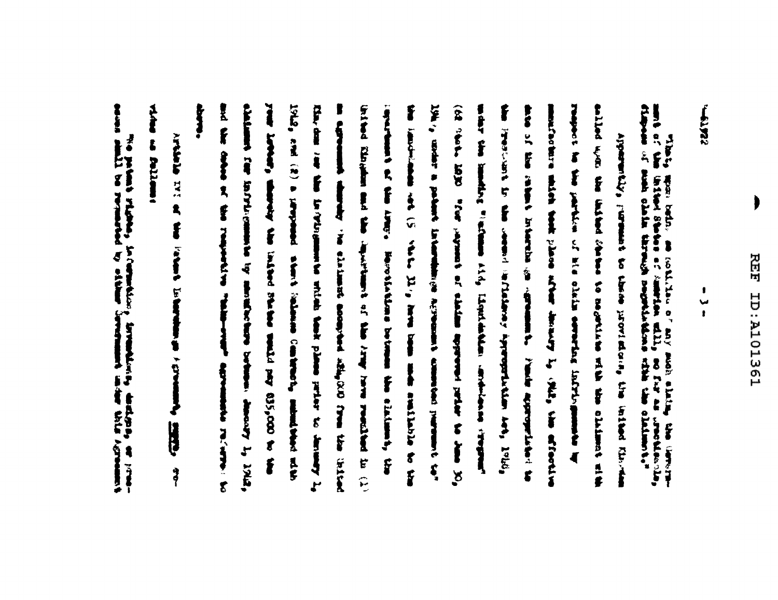$\qquad \qquad \blacktriangleright$ 

**CENTER** 

When the property of the collider of any specific of the state of the correction of the correction of the correction of the correction of the correction of the correction of the correction of the correction of the correcti

lote, emi (2) a jarpound atmet lonking control, minutes at the to the boot when we have a set that the computation of the same results of (1) light, controls in particular Laterniche Acrossim & commoded purrunnel tor" ease of white remains anythe in tunnity, with the case of the fit FOR ONE OF THE RESIDENCE OF THE PARTIES. If are the the following the court of their plans prison of the secondy Li contrared at the interestingular between the sixtensity the and of alliant that is vary and are and are the lines of the sail of the Pressure is the second relativity appropriately and, 1969 this committed with the solution of and any building the claims of the also the transmitter by similar to event or the court of the same of the same of the same of the same of the same of the same of the same of the same of the same of the same of the same of the same of the same of the same rest Linkur, whereiny the linited friends would pay 635,000 to the in tighteenth whereby the slatest sounder shipped and the the third coupled The summary particle and all the state with the state of the summary of where the internet international contact and internet internet internet as in the chainst interest of the agreement. Plans appropriation to set material minimum and plane artest planety by (NR). I'm efforting Appearantly, permane to those provident are initial finitions **CAPTAINMENT POLYMPICS** ð

Artistic of the Pattern Education of the States \$

The shims

comments a sign and the comments of the properties of Limit sevent with the property of the second control of the second control of the second control of the second control of the second control of the second control of th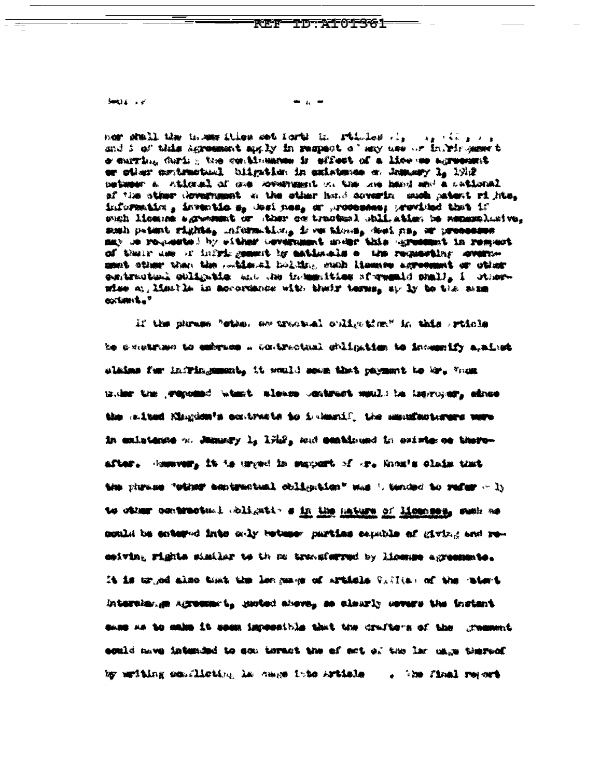**See U.L.** + 8°

nor stall the transfer this set forth in ritials as a single the and i of this Agreement mylly in respect of any use or infromer t o surring during the continuance is effect of a lice we agreemed or other contractual biigation in anistence on Jemany 1, 1912 between a ntional of our coveragest on the one hand and a national af the sther dovernment a the other hand covering much patent rights. information, inventions, met nes, or processes; provided that if such licenes agrammet or ther on tracket) shill atien be nemembled ve. somh patent rights, information, is we times, dont may or processes may be requested by either coverament under this ogressmet in respect. of thuir use of infrire generit by antiunals a the requesting covernmant ather then the middentl holding such itsemes agreement or other eentractual chiligatie and the industities sforwanid shall, i otherwise at, limation in monormance with their terms, sp ly to the mam **CONSUMING** 

if the phrase "cthe. on tractual culty-time" in this srticle be construes to embrace a contractual chilostics to incommity a,aime alaims for infringement, it would soon that payment to Mr. When triang the graposand when t alsame contract method he improper, show the calted Ningdow's contracts to indexide the maniforteruns were in enlatence of January 1, 1922, and continued in existe on thereafter. However, it is urged in emport of er. Soon's claim that the plunes "other sentractual obligation" was ' tended to refer - ly to other contracts. Allest a in the mature of licenses, such as could be entered into only between parties capable of giving and receiving rights similar to the ne transferred by license agreemente. It is urged also tout the longuage of articlels Villa: of the ratert Interchange Agreement, parted above, so clearly covers the instant same as to make it seem impossible that the drafters of the greenest sould mave intended to som teract the of ect of the lar mage thereof by writing semilisting he came into Artisle . . The final report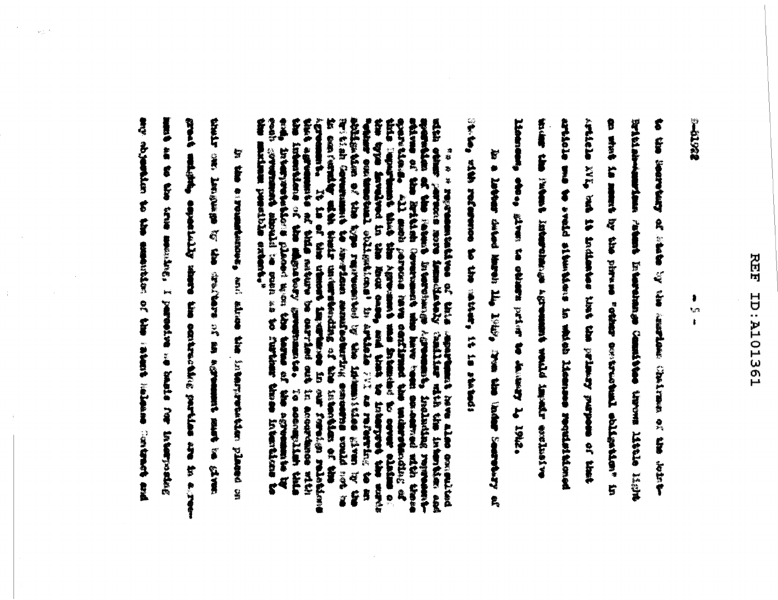## 另页 ISEIOIR: CI

Lega

8 t.,  $\ddot{\bullet}$ 

**With Pack Property assumed to the Summers Profile Statement of the Summer Profile Statement of Statement of Statement of Statement of Statement of Statement of Statement of Statement of Statement of Statement of Statement TAN WESTART** on what is summed by the playing collapsic and Links in the collapsical collapsical in Restainment and a signal international counts on the state state signal to and to analyzed by the class of and the tour of the lots linerate of the structure of the college present of the factor of 1942. home are a subject that the standing in the standard of the statement of the statement of the statement of the that is anodum crimity and said advanting st and

**Constant at a family of the lines of the state of the second second and the second second second second second second second second second second second second second second second second second second second second secon** To experience where the control lines is the the leader's composite the component of

mperantian of the South's International Agreement, including represent-<br>edding of the Rithch Germann's who have toen concentrat after the control of the control of the specific of the second that the Agreement was followed igreement, It is at the utmost impurite of in our foreign relationships that is a complete of the complete of the second contributions of the second contribution of the second contribution of the second contribution of the recibe communished in Secretaria annulle of the second intervalse contains of the same of the same of the same of the same of the same of the same of the same of the same of the same of the same of the same of the same of contain of the results of contained of the references of the factories of the same of the To a a regressivation of this approximate here also exceptions **E** 

any constant to the same constant inclusions incleans incleans from fortune grad emiste, especially riterature the section particles in a result state to the state and the state of particular in the state for the family of the state of the state In this expenditures, well show that interpretation placed on